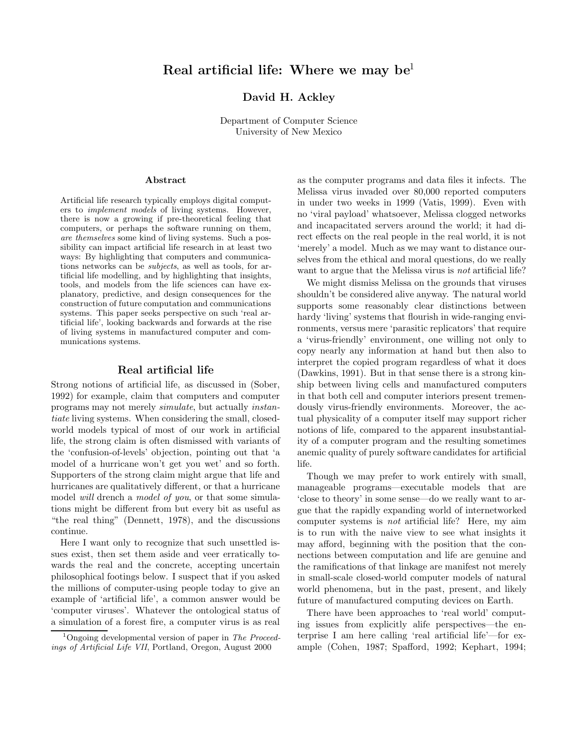# **Real artificial life: Where we may be**<sup>1</sup>

### **David H. Ackley**

Department of Computer Science University of New Mexico

#### **Abstract**

Artificial life research typically employs digital computers to *implement models* of living systems. However, there is now a growing if pre-theoretical feeling that computers, or perhaps the software running on them, *are themselves* some kind of living systems. Such a possibility can impact artificial life research in at least two ways: By highlighting that computers and communications networks can be *subjects*, as well as tools, for artificial life modelling, and by highlighting that insights, tools, and models from the life sciences can have explanatory, predictive, and design consequences for the construction of future computation and communications systems. This paper seeks perspective on such 'real artificial life', looking backwards and forwards at the rise of living systems in manufactured computer and communications systems.

### **Real artificial life**

Strong notions of artificial life, as discussed in (Sober, 1992) for example, claim that computers and computer programs may not merely *simulate*, but actually *instantiate* living systems. When considering the small, closedworld models typical of most of our work in artificial life, the strong claim is often dismissed with variants of the 'confusion-of-levels' objection, pointing out that 'a model of a hurricane won't get you wet' and so forth. Supporters of the strong claim might argue that life and hurricanes are qualitatively different, or that a hurricane model *will* drench a *model of you*, or that some simulations might be different from but every bit as useful as "the real thing" (Dennett, 1978), and the discussions continue.

Here I want only to recognize that such unsettled issues exist, then set them aside and veer erratically towards the real and the concrete, accepting uncertain philosophical footings below. I suspect that if you asked the millions of computer-using people today to give an example of 'artificial life', a common answer would be 'computer viruses'. Whatever the ontological status of a simulation of a forest fire, a computer virus is as real as the computer programs and data files it infects. The Melissa virus invaded over 80,000 reported computers in under two weeks in 1999 (Vatis, 1999). Even with no 'viral payload' whatsoever, Melissa clogged networks and incapacitated servers around the world; it had direct effects on the real people in the real world, it is not 'merely' a model. Much as we may want to distance ourselves from the ethical and moral questions, do we really want to argue that the Melissa virus is *not* artificial life?

We might dismiss Melissa on the grounds that viruses shouldn't be considered alive anyway. The natural world supports some reasonably clear distinctions between hardy 'living' systems that flourish in wide-ranging environments, versus mere 'parasitic replicators' that require a 'virus-friendly' environment, one willing not only to copy nearly any information at hand but then also to interpret the copied program regardless of what it does (Dawkins, 1991). But in that sense there is a strong kinship between living cells and manufactured computers in that both cell and computer interiors present tremendously virus-friendly environments. Moreover, the actual physicality of a computer itself may support richer notions of life, compared to the apparent insubstantiality of a computer program and the resulting sometimes anemic quality of purely software candidates for artificial life.

Though we may prefer to work entirely with small, manageable programs—executable models that are 'close to theory' in some sense—do we really want to argue that the rapidly expanding world of internetworked computer systems is *not* artificial life? Here, my aim is to run with the naive view to see what insights it may afford, beginning with the position that the connections between computation and life are genuine and the ramifications of that linkage are manifest not merely in small-scale closed-world computer models of natural world phenomena, but in the past, present, and likely future of manufactured computing devices on Earth.

There have been approaches to 'real world' computing issues from explicitly alife perspectives—the enterprise I am here calling 'real artificial life'—for example (Cohen, 1987; Spafford, 1992; Kephart, 1994;

<sup>1</sup>Ongoing developmental version of paper in *The Proceedings of Artificial Life VII*, Portland, Oregon, August 2000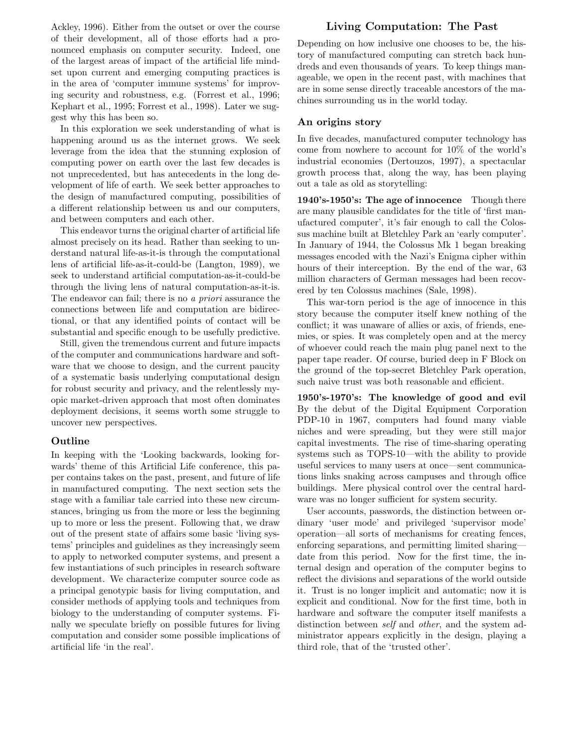Ackley, 1996). Either from the outset or over the course of their development, all of those efforts had a pronounced emphasis on computer security. Indeed, one of the largest areas of impact of the artificial life mindset upon current and emerging computing practices is in the area of 'computer immune systems' for improving security and robustness, e.g. (Forrest et al., 1996; Kephart et al., 1995; Forrest et al., 1998). Later we suggest why this has been so.

In this exploration we seek understanding of what is happening around us as the internet grows. We seek leverage from the idea that the stunning explosion of computing power on earth over the last few decades is not unprecedented, but has antecedents in the long development of life of earth. We seek better approaches to the design of manufactured computing, possibilities of a different relationship between us and our computers, and between computers and each other.

This endeavor turns the original charter of artificial life almost precisely on its head. Rather than seeking to understand natural life-as-it-is through the computational lens of artificial life-as-it-could-be (Langton, 1989), we seek to understand artificial computation-as-it-could-be through the living lens of natural computation-as-it-is. The endeavor can fail; there is no *a priori* assurance the connections between life and computation are bidirectional, or that any identified points of contact will be substantial and specific enough to be usefully predictive.

Still, given the tremendous current and future impacts of the computer and communications hardware and software that we choose to design, and the current paucity of a systematic basis underlying computational design for robust security and privacy, and the relentlessly myopic market-driven approach that most often dominates deployment decisions, it seems worth some struggle to uncover new perspectives.

### **Outline**

In keeping with the 'Looking backwards, looking forwards' theme of this Artificial Life conference, this paper contains takes on the past, present, and future of life in manufactured computing. The next section sets the stage with a familiar tale carried into these new circumstances, bringing us from the more or less the beginning up to more or less the present. Following that, we draw out of the present state of affairs some basic 'living systems' principles and guidelines as they increasingly seem to apply to networked computer systems, and present a few instantiations of such principles in research software development. We characterize computer source code as a principal genotypic basis for living computation, and consider methods of applying tools and techniques from biology to the understanding of computer systems. Finally we speculate briefly on possible futures for living computation and consider some possible implications of artificial life 'in the real'.

# **Living Computation: The Past**

Depending on how inclusive one chooses to be, the history of manufactured computing can stretch back hundreds and even thousands of years. To keep things manageable, we open in the recent past, with machines that are in some sense directly traceable ancestors of the machines surrounding us in the world today.

### **An origins story**

In five decades, manufactured computer technology has come from nowhere to account for 10% of the world's industrial economies (Dertouzos, 1997), a spectacular growth process that, along the way, has been playing out a tale as old as storytelling:

**1940's-1950's: The age of innocence** Though there are many plausible candidates for the title of 'first manufactured computer', it's fair enough to call the Colossus machine built at Bletchley Park an 'early computer'. In January of 1944, the Colossus Mk 1 began breaking messages encoded with the Nazi's Enigma cipher within hours of their interception. By the end of the war, 63 million characters of German messages had been recovered by ten Colossus machines (Sale, 1998).

This war-torn period is the age of innocence in this story because the computer itself knew nothing of the conflict; it was unaware of allies or axis, of friends, enemies, or spies. It was completely open and at the mercy of whoever could reach the main plug panel next to the paper tape reader. Of course, buried deep in F Block on the ground of the top-secret Bletchley Park operation, such naive trust was both reasonable and efficient.

**1950's-1970's: The knowledge of good and evil** By the debut of the Digital Equipment Corporation PDP-10 in 1967, computers had found many viable niches and were spreading, but they were still major capital investments. The rise of time-sharing operating systems such as TOPS-10—with the ability to provide useful services to many users at once—sent communications links snaking across campuses and through office buildings. Mere physical control over the central hardware was no longer sufficient for system security.

User accounts, passwords, the distinction between ordinary 'user mode' and privileged 'supervisor mode' operation—all sorts of mechanisms for creating fences, enforcing separations, and permitting limited sharing date from this period. Now for the first time, the internal design and operation of the computer begins to reflect the divisions and separations of the world outside it. Trust is no longer implicit and automatic; now it is explicit and conditional. Now for the first time, both in hardware and software the computer itself manifests a distinction between *self* and *other*, and the system administrator appears explicitly in the design, playing a third role, that of the 'trusted other'.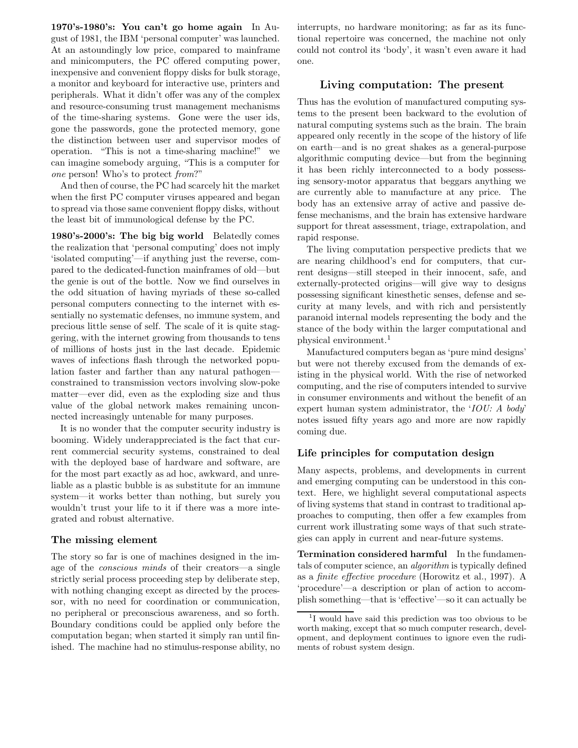**1970's-1980's: You can't go home again** In August of 1981, the IBM 'personal computer' was launched. At an astoundingly low price, compared to mainframe and minicomputers, the PC offered computing power, inexpensive and convenient floppy disks for bulk storage, a monitor and keyboard for interactive use, printers and peripherals. What it didn't offer was any of the complex and resource-consuming trust management mechanisms of the time-sharing systems. Gone were the user ids, gone the passwords, gone the protected memory, gone the distinction between user and supervisor modes of operation. "This is not a time-sharing machine!" we can imagine somebody arguing, "This is a computer for *one* person! Who's to protect *from*?"

And then of course, the PC had scarcely hit the market when the first PC computer viruses appeared and began to spread via those same convenient floppy disks, without the least bit of immunological defense by the PC.

**1980's-2000's: The big big world** Belatedly comes the realization that 'personal computing' does not imply 'isolated computing'—if anything just the reverse, compared to the dedicated-function mainframes of old—but the genie is out of the bottle. Now we find ourselves in the odd situation of having myriads of these so-called personal computers connecting to the internet with essentially no systematic defenses, no immune system, and precious little sense of self. The scale of it is quite staggering, with the internet growing from thousands to tens of millions of hosts just in the last decade. Epidemic waves of infections flash through the networked population faster and farther than any natural pathogen constrained to transmission vectors involving slow-poke matter—ever did, even as the exploding size and thus value of the global network makes remaining unconnected increasingly untenable for many purposes.

It is no wonder that the computer security industry is booming. Widely underappreciated is the fact that current commercial security systems, constrained to deal with the deployed base of hardware and software, are for the most part exactly as ad hoc, awkward, and unreliable as a plastic bubble is as substitute for an immune system—it works better than nothing, but surely you wouldn't trust your life to it if there was a more integrated and robust alternative.

### **The missing element**

The story so far is one of machines designed in the image of the *conscious minds* of their creators—a single strictly serial process proceeding step by deliberate step, with nothing changing except as directed by the processor, with no need for coordination or communication, no peripheral or preconscious awareness, and so forth. Boundary conditions could be applied only before the computation began; when started it simply ran until finished. The machine had no stimulus-response ability, no interrupts, no hardware monitoring; as far as its functional repertoire was concerned, the machine not only could not control its 'body', it wasn't even aware it had one.

### **Living computation: The present**

Thus has the evolution of manufactured computing systems to the present been backward to the evolution of natural computing systems such as the brain. The brain appeared only recently in the scope of the history of life on earth—and is no great shakes as a general-purpose algorithmic computing device—but from the beginning it has been richly interconnected to a body possessing sensory-motor apparatus that beggars anything we are currently able to manufacture at any price. The body has an extensive array of active and passive defense mechanisms, and the brain has extensive hardware support for threat assessment, triage, extrapolation, and rapid response.

The living computation perspective predicts that we are nearing childhood's end for computers, that current designs—still steeped in their innocent, safe, and externally-protected origins—will give way to designs possessing significant kinesthetic senses, defense and security at many levels, and with rich and persistently paranoid internal models representing the body and the stance of the body within the larger computational and physical environment.<sup>1</sup>

Manufactured computers began as 'pure mind designs' but were not thereby excused from the demands of existing in the physical world. With the rise of networked computing, and the rise of computers intended to survive in consumer environments and without the benefit of an expert human system administrator, the '*IOU: A body*' notes issued fifty years ago and more are now rapidly coming due.

#### **Life principles for computation design**

Many aspects, problems, and developments in current and emerging computing can be understood in this context. Here, we highlight several computational aspects of living systems that stand in contrast to traditional approaches to computing, then offer a few examples from current work illustrating some ways of that such strategies can apply in current and near-future systems.

**Termination considered harmful** In the fundamentals of computer science, an *algorithm* is typically defined as a *finite effective procedure* (Horowitz et al., 1997). A 'procedure'—a description or plan of action to accomplish something—that is 'effective'—so it can actually be

<sup>1</sup>I would have said this prediction was too obvious to be worth making, except that so much computer research, development, and deployment continues to ignore even the rudiments of robust system design.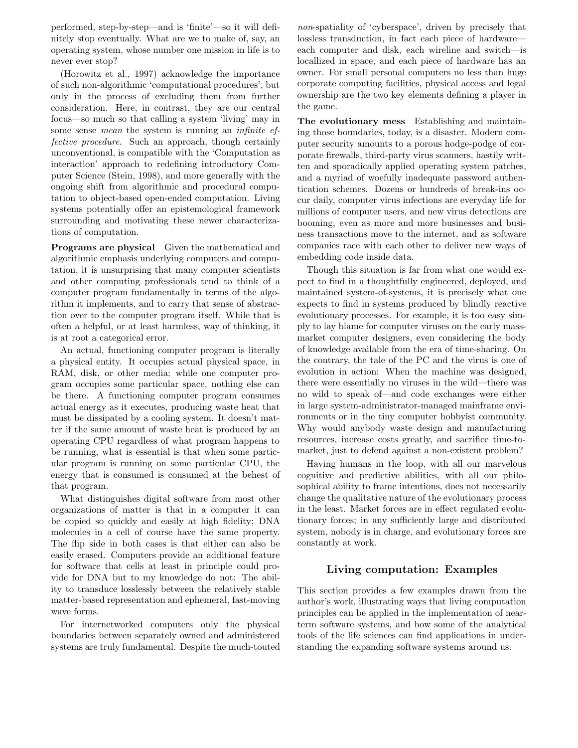performed, step-by-step—and is 'finite'—so it will definitely stop eventually. What are we to make of, say, an operating system, whose number one mission in life is to never ever stop?

(Horowitz et al., 1997) acknowledge the importance of such non-algorithmic 'computational procedures', but only in the process of excluding them from further consideration. Here, in contrast, they are our central focus—so much so that calling a system 'living' may in some sense *mean* the system is running an *infinite effective procedure*. Such an approach, though certainly unconventional, is compatible with the 'Computation as interaction' approach to redefining introductory Computer Science (Stein, 1998), and more generally with the ongoing shift from algorithmic and procedural computation to object-based open-ended computation. Living systems potentially offer an epistemological framework surrounding and motivating these newer characterizations of computation.

**Programs are physical** Given the mathematical and algorithmic emphasis underlying computers and computation, it is unsurprising that many computer scientists and other computing professionals tend to think of a computer program fundamentally in terms of the algorithm it implements, and to carry that sense of abstraction over to the computer program itself. While that is often a helpful, or at least harmless, way of thinking, it is at root a categorical error.

An actual, functioning computer program is literally a physical entity. It occupies actual physical space, in RAM, disk, or other media; while one computer program occupies some particular space, nothing else can be there. A functioning computer program consumes actual energy as it executes, producing waste heat that must be dissipated by a cooling system. It doesn't matter if the same amount of waste heat is produced by an operating CPU regardless of what program happens to be running, what is essential is that when some particular program is running on some particular CPU, the energy that is consumed is consumed at the behest of that program.

What distinguishes digital software from most other organizations of matter is that in a computer it can be copied so quickly and easily at high fidelity; DNA molecules in a cell of course have the same property. The flip side in both cases is that either can also be easily erased. Computers provide an additional feature for software that cells at least in principle could provide for DNA but to my knowledge do not: The ability to transduce losslessly between the relatively stable matter-based representation and ephemeral, fast-moving wave forms.

For internetworked computers only the physical boundaries between separately owned and administered systems are truly fundamental. Despite the much-touted

*non*-spatiality of 'cyberspace', driven by precisely that lossless transduction, in fact each piece of hardware each computer and disk, each wireline and switch—is locallized in space, and each piece of hardware has an owner. For small personal computers no less than huge corporate computing facilities, physical access and legal ownership are the two key elements defining a player in the game.

**The evolutionary mess** Establishing and maintaining those boundaries, today, is a disaster. Modern computer security amounts to a porous hodge-podge of corporate firewalls, third-party virus scanners, hastily written and sporadically applied operating system patches, and a myriad of woefully inadequate password authentication schemes. Dozens or hundreds of break-ins occur daily, computer virus infections are everyday life for millions of computer users, and new virus detections are booming, even as more and more businesses and business transactions move to the internet, and as software companies race with each other to deliver new ways of embedding code inside data.

Though this situation is far from what one would expect to find in a thoughtfully engineered, deployed, and maintained system-of-systems, it is precisely what one expects to find in systems produced by blindly reactive evolutionary processes. For example, it is too easy simply to lay blame for computer viruses on the early massmarket computer designers, even considering the body of knowledge available from the era of time-sharing. On the contrary, the tale of the PC and the virus is one of evolution in action: When the machine was designed, there were essentially no viruses in the wild—there was no wild to speak of—and code exchanges were either in large system-administrator-managed mainframe environments or in the tiny computer hobbyist community. Why would anybody waste design and manufacturing resources, increase costs greatly, and sacrifice time-tomarket, just to defend against a non-existent problem?

Having humans in the loop, with all our marvelous cognitive and predictive abilities, with all our philosophical ability to frame intentions, does not necessarily change the qualitative nature of the evolutionary process in the least. Market forces are in effect regulated evolutionary forces; in any sufficiently large and distributed system, nobody is in charge, and evolutionary forces are constantly at work.

### **Living computation: Examples**

This section provides a few examples drawn from the author's work, illustrating ways that living computation principles can be applied in the implementation of nearterm software systems, and how some of the analytical tools of the life sciences can find applications in understanding the expanding software systems around us.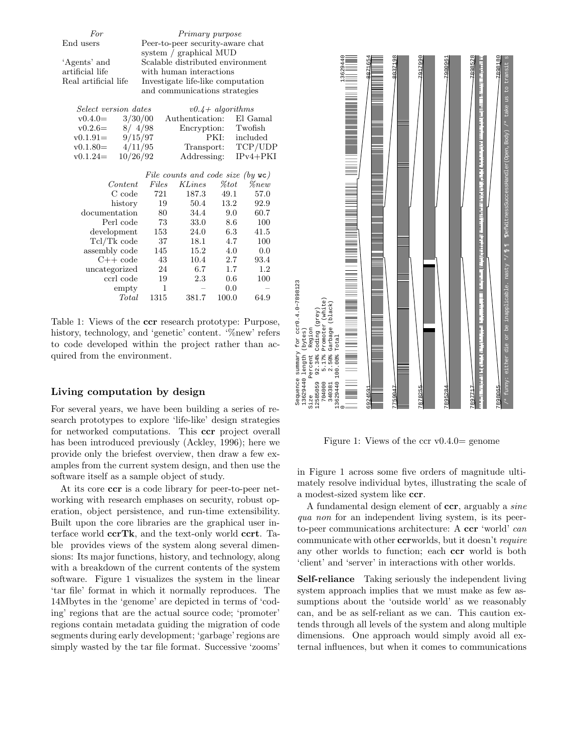| For                                                     | Primary purpose                                                                                                                   |
|---------------------------------------------------------|-----------------------------------------------------------------------------------------------------------------------------------|
| End users                                               | Peer-to-peer security-aware chat<br>system / graphical MUD                                                                        |
| 'Agents' and<br>artificial life<br>Real artificial life | Scalable distributed environment<br>with human interactions<br>Investigate life-like computation<br>and communications strategies |
|                                                         |                                                                                                                                   |

| Select version dates |          | $v0.4+$ algorithms |            |  |  |
|----------------------|----------|--------------------|------------|--|--|
| $v0.4.0=$            | 3/30/00  | Authentication:    | El Gamal   |  |  |
| $v0.2.6=$            | 8/4/98   | Encryption:        | Twofish    |  |  |
| $v0.1.91 =$          | 9/15/97  | PKI:               | included   |  |  |
| $v0.1.80=$           | 4/11/95  | Transport:         | TCP/UDP    |  |  |
| $v0.1.24=$           | 10/26/92 | Addressing:        | $IPv4+PKI$ |  |  |

|               |       | File counts and code size (by wc) |          |                    |
|---------------|-------|-----------------------------------|----------|--------------------|
| Content       | Files | KLines                            | $\%$ tot | $\mathscr{C}\!new$ |
| C code        | 721   | 187.3                             | 49.1     | 57.0               |
| history       | 19    | 50.4                              | 13.2     | 92.9               |
| documentation | 80    | 34.4                              | 9.0      | 60.7               |
| Perl code     | 73    | 33.0                              | 8.6      | 100                |
| development   | 153   | 24.0                              | 6.3      | 41.5               |
| Tcl/Tk code   | 37    | 18.1                              | 4.7      | 100                |
| assembly code | 145   | 15.2                              | 4.0      | 0.0                |
| $C++code$     | 43    | 10.4                              | 2.7      | 93.4               |
| uncategorized | 24    | 6.7                               | 1.7      | 1.2                |
| ccrl code     | 19    | 2.3                               | 0.6      | 100                |
| empty         | 1     |                                   | 0.0      |                    |
| Total         | 1315  | 381.7                             | 100.0    |                    |

Table 1: Views of the **ccr** research prototype: Purpose, history, technology, and 'genetic' content. ' $\%$ new' refers to code developed within the project rather than acquired from the environment.

### **Living computation by design**

For several years, we have been building a series of research prototypes to explore 'life-like' design strategies for networked computations. This **ccr** project overall has been introduced previously (Ackley, 1996); here we provide only the briefest overview, then draw a few examples from the current system design, and then use the software itself as a sample object of study.

At its core **ccr** is a code library for peer-to-peer networking with research emphases on security, robust operation, object persistence, and run-time extensibility. Built upon the core libraries are the graphical user interface world **ccrTk**, and the text-only world **ccrt**. Table provides views of the system along several dimensions: Its major functions, history, and technology, along with a breakdown of the current contents of the system software. Figure 1 visualizes the system in the linear 'tar file' format in which it normally reproduces. The 14Mbytes in the 'genome' are depicted in terms of 'coding' regions that are the actual source code; 'promoter' regions contain metadata guiding the migration of code segments during early development; 'garbage' regions are simply wasted by the tar file format. Successive 'zooms'



Figure 1: Views of the ccr  $v(0.4.0)$  genome

in Figure 1 across some five orders of magnitude ultimately resolve individual bytes, illustrating the scale of a modest-sized system like **ccr**.

A fundamental design element of **ccr**, arguably a *sine qua non* for an independent living system, is its peerto-peer communications architecture: A **ccr** 'world' *can* communicate with other **ccr**worlds, but it doesn't *require* any other worlds to function; each **ccr** world is both 'client' and 'server' in interactions with other worlds.

**Self-reliance** Taking seriously the independent living system approach implies that we must make as few assumptions about the 'outside world' as we reasonably can, and be as self-reliant as we can. This caution extends through all levels of the system and along multiple dimensions. One approach would simply avoid all external influences, but when it comes to communications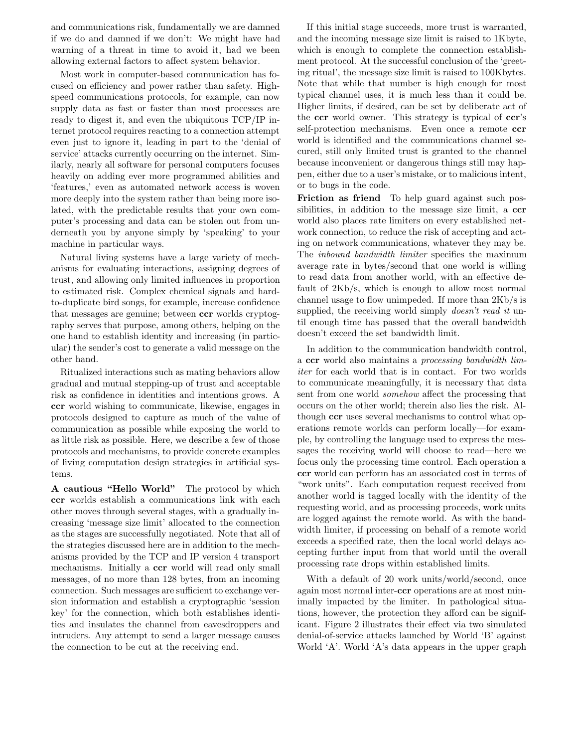and communications risk, fundamentally we are damned if we do and damned if we don't: We might have had warning of a threat in time to avoid it, had we been allowing external factors to affect system behavior.

Most work in computer-based communication has focused on efficiency and power rather than safety. Highspeed communications protocols, for example, can now supply data as fast or faster than most processes are ready to digest it, and even the ubiquitous TCP/IP internet protocol requires reacting to a connection attempt even just to ignore it, leading in part to the 'denial of service' attacks currently occurring on the internet. Similarly, nearly all software for personal computers focuses heavily on adding ever more programmed abilities and 'features,' even as automated network access is woven more deeply into the system rather than being more isolated, with the predictable results that your own computer's processing and data can be stolen out from underneath you by anyone simply by 'speaking' to your machine in particular ways.

Natural living systems have a large variety of mechanisms for evaluating interactions, assigning degrees of trust, and allowing only limited influences in proportion to estimated risk. Complex chemical signals and hardto-duplicate bird songs, for example, increase confidence that messages are genuine; between **ccr** worlds cryptography serves that purpose, among others, helping on the one hand to establish identity and increasing (in particular) the sender's cost to generate a valid message on the other hand.

Ritualized interactions such as mating behaviors allow gradual and mutual stepping-up of trust and acceptable risk as confidence in identities and intentions grows. A **ccr** world wishing to communicate, likewise, engages in protocols designed to capture as much of the value of communication as possible while exposing the world to as little risk as possible. Here, we describe a few of those protocols and mechanisms, to provide concrete examples of living computation design strategies in artificial systems.

**A cautious "Hello World"** The protocol by which **ccr** worlds establish a communications link with each other moves through several stages, with a gradually increasing 'message size limit' allocated to the connection as the stages are successfully negotiated. Note that all of the strategies discussed here are in addition to the mechanisms provided by the TCP and IP version 4 transport mechanisms. Initially a **ccr** world will read only small messages, of no more than 128 bytes, from an incoming connection. Such messages are sufficient to exchange version information and establish a cryptographic 'session key' for the connection, which both establishes identities and insulates the channel from eavesdroppers and intruders. Any attempt to send a larger message causes the connection to be cut at the receiving end.

If this initial stage succeeds, more trust is warranted, and the incoming message size limit is raised to 1Kbyte, which is enough to complete the connection establishment protocol. At the successful conclusion of the 'greeting ritual', the message size limit is raised to 100Kbytes. Note that while that number is high enough for most typical channel uses, it is much less than it could be. Higher limits, if desired, can be set by deliberate act of the **ccr** world owner. This strategy is typical of **ccr**'s self-protection mechanisms. Even once a remote **ccr** world is identified and the communications channel secured, still only limited trust is granted to the channel because inconvenient or dangerous things still may happen, either due to a user's mistake, or to malicious intent, or to bugs in the code.

**Friction as friend** To help guard against such possibilities, in addition to the message size limit, a **ccr** world also places rate limiters on every established network connection, to reduce the risk of accepting and acting on network communications, whatever they may be. The *inbound bandwidth limiter* specifies the maximum average rate in bytes/second that one world is willing to read data from another world, with an effective default of 2Kb/s, which is enough to allow most normal channel usage to flow unimpeded. If more than 2Kb/s is supplied, the receiving world simply *doesn't read it* until enough time has passed that the overall bandwidth doesn't exceed the set bandwidth limit.

In addition to the communication bandwidth control, a **ccr** world also maintains a *processing bandwidth limiter* for each world that is in contact. For two worlds to communicate meaningfully, it is necessary that data sent from one world *somehow* affect the processing that occurs on the other world; therein also lies the risk. Although **ccr** uses several mechanisms to control what operations remote worlds can perform locally—for example, by controlling the language used to express the messages the receiving world will choose to read—here we focus only the processing time control. Each operation a **ccr** world can perform has an associated cost in terms of "work units". Each computation request received from another world is tagged locally with the identity of the requesting world, and as processing proceeds, work units are logged against the remote world. As with the bandwidth limiter, if processing on behalf of a remote world exceeds a specified rate, then the local world delays accepting further input from that world until the overall processing rate drops within established limits.

With a default of 20 work units/world/second, once again most normal inter-**ccr** operations are at most minimally impacted by the limiter. In pathological situations, however, the protection they afford can be significant. Figure 2 illustrates their effect via two simulated denial-of-service attacks launched by World 'B' against World 'A'. World 'A's data appears in the upper graph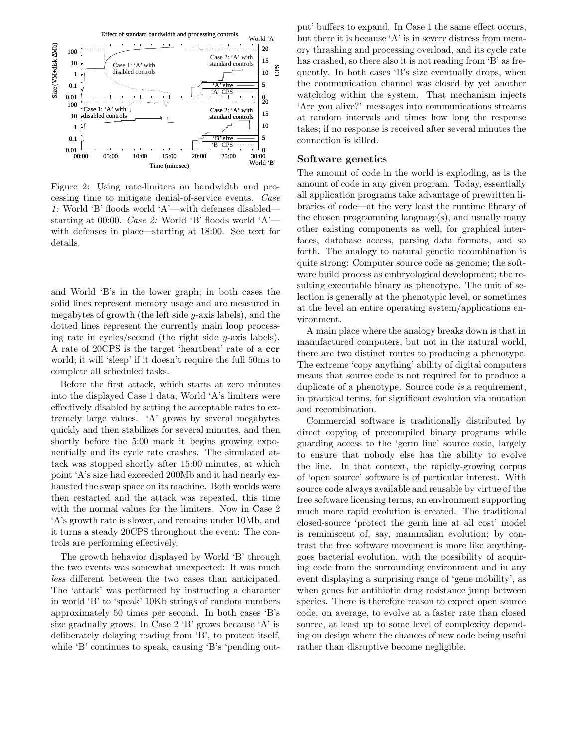

Figure 2: Using rate-limiters on bandwidth and processing time to mitigate denial-of-service events. *Case 1:* World 'B' floods world 'A'—with defenses disabled starting at 00:00. *Case 2:* World 'B' floods world 'A' with defenses in place—starting at 18:00. See text for details.

and World 'B's in the lower graph; in both cases the solid lines represent memory usage and are measured in megabytes of growth (the left side *y*-axis labels), and the dotted lines represent the currently main loop processing rate in cycles/second (the right side *y*-axis labels). A rate of 20CPS is the target 'heartbeat' rate of a **ccr** world; it will 'sleep' if it doesn't require the full 50ms to complete all scheduled tasks.

Before the first attack, which starts at zero minutes into the displayed Case 1 data, World 'A's limiters were effectively disabled by setting the acceptable rates to extremely large values. 'A' grows by several megabytes quickly and then stabilizes for several minutes, and then shortly before the 5:00 mark it begins growing exponentially and its cycle rate crashes. The simulated attack was stopped shortly after 15:00 minutes, at which point 'A's size had exceeded 200Mb and it had nearly exhausted the swap space on its machine. Both worlds were then restarted and the attack was repeated, this time with the normal values for the limiters. Now in Case 2 'A's growth rate is slower, and remains under 10Mb, and it turns a steady 20CPS throughout the event: The controls are performing effectively.

The growth behavior displayed by World 'B' through the two events was somewhat unexpected: It was much *less* different between the two cases than anticipated. The 'attack' was performed by instructing a character in world 'B' to 'speak' 10Kb strings of random numbers approximately 50 times per second. In both cases 'B's size gradually grows. In Case 2 'B' grows because 'A' is deliberately delaying reading from 'B', to protect itself, while 'B' continues to speak, causing 'B's 'pending output' buffers to expand. In Case 1 the same effect occurs, but there it is because 'A' is in severe distress from memory thrashing and processing overload, and its cycle rate has crashed, so there also it is not reading from 'B' as frequently. In both cases 'B's size eventually drops, when the communication channel was closed by yet another watchdog within the system. That mechanism injects 'Are you alive?' messages into communications streams at random intervals and times how long the response takes; if no response is received after several minutes the connection is killed.

#### **Software genetics**

The amount of code in the world is exploding, as is the amount of code in any given program. Today, essentially all application programs take advantage of prewritten libraries of code—at the very least the runtime library of the chosen programming language(s), and usually many other existing components as well, for graphical interfaces, database access, parsing data formats, and so forth. The analogy to natural genetic recombination is quite strong: Computer source code as genome; the software build process as embryological development; the resulting executable binary as phenotype. The unit of selection is generally at the phenotypic level, or sometimes at the level an entire operating system/applications environment.

A main place where the analogy breaks down is that in manufactured computers, but not in the natural world, there are two distinct routes to producing a phenotype. The extreme 'copy anything' ability of digital computers means that source code is not required for to produce a duplicate of a phenotype. Source code *is* a requirement, in practical terms, for significant evolution via mutation and recombination.

Commercial software is traditionally distributed by direct copying of precompiled binary programs while guarding access to the 'germ line' source code, largely to ensure that nobody else has the ability to evolve the line. In that context, the rapidly-growing corpus of 'open source' software is of particular interest. With source code always available and reusable by virtue of the free software licensing terms, an environment supporting much more rapid evolution is created. The traditional closed-source 'protect the germ line at all cost' model is reminiscent of, say, mammalian evolution; by contrast the free software movement is more like anythinggoes bacterial evolution, with the possibility of acquiring code from the surrounding environment and in any event displaying a surprising range of 'gene mobility', as when genes for antibiotic drug resistance jump between species. There is therefore reason to expect open source code, on average, to evolve at a faster rate than closed source, at least up to some level of complexity depending on design where the chances of new code being useful rather than disruptive become negligible.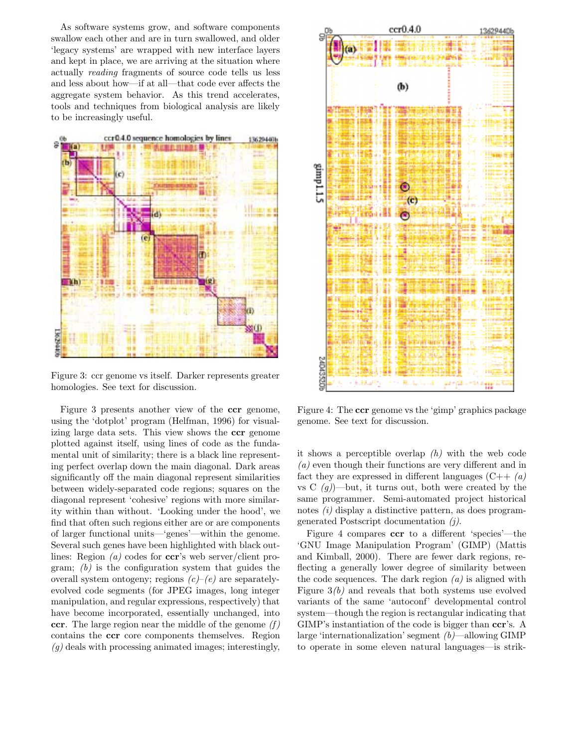As software systems grow, and software components swallow each other and are in turn swallowed, and older 'legacy systems' are wrapped with new interface layers and kept in place, we are arriving at the situation where actually *reading* fragments of source code tells us less and less about how—if at all—that code ever affects the aggregate system behavior. As this trend accelerates, tools and techniques from biological analysis are likely to be increasingly useful.



Figure 3: ccr genome vs itself. Darker represents greater homologies. See text for discussion.

Figure 3 presents another view of the **ccr** genome, using the 'dotplot' program (Helfman, 1996) for visualizing large data sets. This view shows the **ccr** genome plotted against itself, using lines of code as the fundamental unit of similarity; there is a black line representing perfect overlap down the main diagonal. Dark areas significantly off the main diagonal represent similarities between widely-separated code regions; squares on the diagonal represent 'cohesive' regions with more similarity within than without. 'Looking under the hood', we find that often such regions either are or are components of larger functional units—'genes'—within the genome. Several such genes have been highlighted with black outlines: Region *(a)* codes for **ccr**'s web server/client program; *(b)* is the configuration system that guides the overall system ontogeny; regions *(c)*–*(e)* are separatelyevolved code segments (for JPEG images, long integer manipulation, and regular expressions, respectively) that have become incorporated, essentially unchanged, into **ccr**. The large region near the middle of the genome *(f )* contains the **ccr** core components themselves. Region *(g)* deals with processing animated images; interestingly,



Figure 4: The **ccr** genome vs the 'gimp' graphics package genome. See text for discussion.

it shows a perceptible overlap *(h)* with the web code *(a)* even though their functions are very different and in fact they are expressed in different languages (C++ *(a)* vs C  $(g)$ —but, it turns out, both were created by the same programmer. Semi-automated project historical notes *(i)* display a distinctive pattern, as does programgenerated Postscript documentation *(j)*.

Figure 4 compares **ccr** to a different 'species'—the 'GNU Image Manipulation Program' (GIMP) (Mattis and Kimball, 2000). There are fewer dark regions, reflecting a generally lower degree of similarity between the code sequences. The dark region *(a)* is aligned with Figure 3*(b)* and reveals that both systems use evolved variants of the same 'autoconf' developmental control system—though the region is rectangular indicating that GIMP's instantiation of the code is bigger than **ccr**'s. A large 'internationalization' segment *(b)*—allowing GIMP to operate in some eleven natural languages—is strik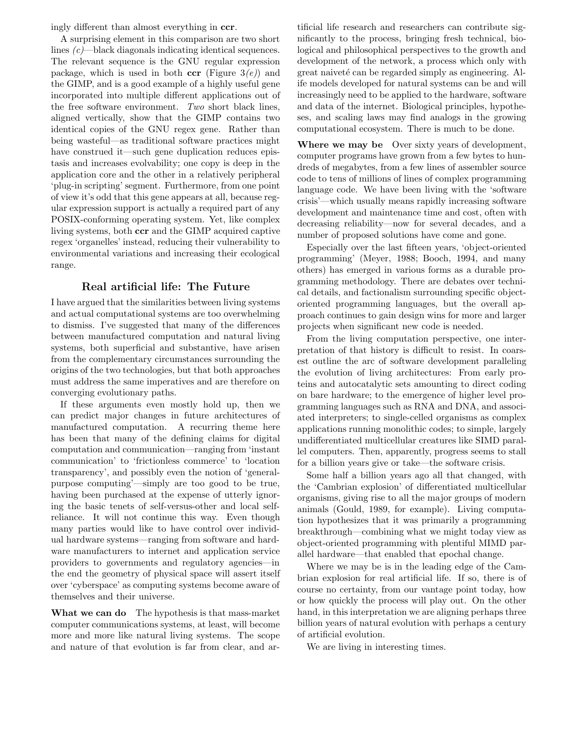ingly different than almost everything in **ccr**.

A surprising element in this comparison are two short lines *(c)*—black diagonals indicating identical sequences. The relevant sequence is the GNU regular expression package, which is used in both **ccr** (Figure  $3(e)$ ) and the GIMP, and is a good example of a highly useful gene incorporated into multiple different applications out of the free software environment. *Two* short black lines, aligned vertically, show that the GIMP contains two identical copies of the GNU regex gene. Rather than being wasteful—as traditional software practices might have construed it—such gene duplication reduces epistasis and increases evolvability; one copy is deep in the application core and the other in a relatively peripheral 'plug-in scripting' segment. Furthermore, from one point of view it's odd that this gene appears at all, because regular expression support is actually a required part of any POSIX-conforming operating system. Yet, like complex living systems, both **ccr** and the GIMP acquired captive regex 'organelles' instead, reducing their vulnerability to environmental variations and increasing their ecological range.

### **Real artificial life: The Future**

I have argued that the similarities between living systems and actual computational systems are too overwhelming to dismiss. I've suggested that many of the differences between manufactured computation and natural living systems, both superficial and substantive, have arisen from the complementary circumstances surrounding the origins of the two technologies, but that both approaches must address the same imperatives and are therefore on converging evolutionary paths.

If these arguments even mostly hold up, then we can predict major changes in future architectures of manufactured computation. A recurring theme here has been that many of the defining claims for digital computation and communication—ranging from 'instant communication' to 'frictionless commerce' to 'location transparency', and possibly even the notion of 'generalpurpose computing'—simply are too good to be true, having been purchased at the expense of utterly ignoring the basic tenets of self-versus-other and local selfreliance. It will not continue this way. Even though many parties would like to have control over individual hardware systems—ranging from software and hardware manufacturers to internet and application service providers to governments and regulatory agencies—in the end the geometry of physical space will assert itself over 'cyberspace' as computing systems become aware of themselves and their universe.

**What we can do** The hypothesis is that mass-market computer communications systems, at least, will become more and more like natural living systems. The scope and nature of that evolution is far from clear, and artificial life research and researchers can contribute significantly to the process, bringing fresh technical, biological and philosophical perspectives to the growth and development of the network, a process which only with great naiveté can be regarded simply as engineering. Alife models developed for natural systems can be and will increasingly need to be applied to the hardware, software and data of the internet. Biological principles, hypotheses, and scaling laws may find analogs in the growing computational ecosystem. There is much to be done.

**Where we may be** Over sixty years of development, computer programs have grown from a few bytes to hundreds of megabytes, from a few lines of assembler source code to tens of millions of lines of complex programming language code. We have been living with the 'software crisis'—which usually means rapidly increasing software development and maintenance time and cost, often with decreasing reliability—now for several decades, and a number of proposed solutions have come and gone.

Especially over the last fifteen years, 'object-oriented programming' (Meyer, 1988; Booch, 1994, and many others) has emerged in various forms as a durable programming methodology. There are debates over technical details, and factionalism surrounding specific objectoriented programming languages, but the overall approach continues to gain design wins for more and larger projects when significant new code is needed.

From the living computation perspective, one interpretation of that history is difficult to resist. In coarsest outline the arc of software development paralleling the evolution of living architectures: From early proteins and autocatalytic sets amounting to direct coding on bare hardware; to the emergence of higher level programming languages such as RNA and DNA, and associated interpreters; to single-celled organisms as complex applications running monolithic codes; to simple, largely undifferentiated multicellular creatures like SIMD parallel computers. Then, apparently, progress seems to stall for a billion years give or take—the software crisis.

Some half a billion years ago all that changed, with the 'Cambrian explosion' of differentiated multicellular organisms, giving rise to all the major groups of modern animals (Gould, 1989, for example). Living computation hypothesizes that it was primarily a programming breakthrough—combining what we might today view as object-oriented programming with plentiful MIMD parallel hardware—that enabled that epochal change.

Where we may be is in the leading edge of the Cambrian explosion for real artificial life. If so, there is of course no certainty, from our vantage point today, how or how quickly the process will play out. On the other hand, in this interpretation we are aligning perhaps three billion years of natural evolution with perhaps a century of artificial evolution.

We are living in interesting times.